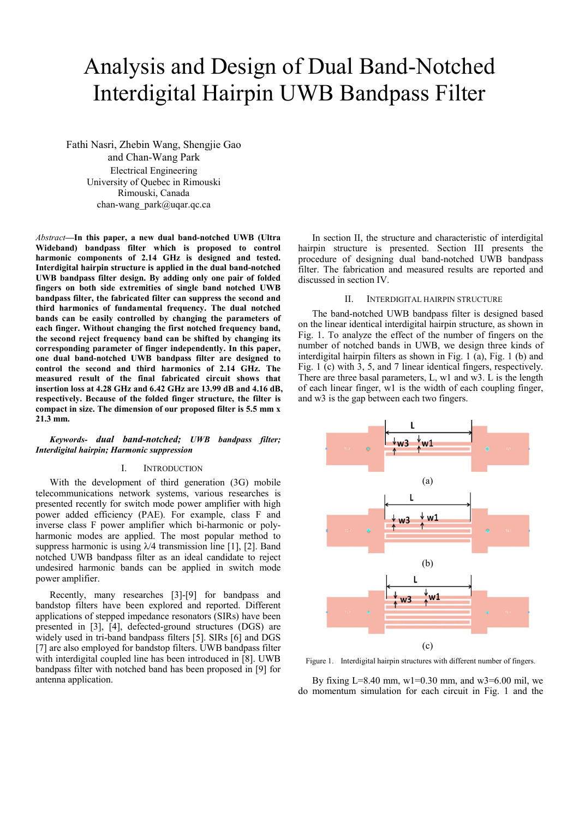# Analysis and Design of Dual Band-Notched Interdigital Hairpin UWB Bandpass Filter

Fathi Nasri, Zhebin Wang, Shengjie Gao and Chan-Wang Park Electrical Engineering University of Quebec in Rimouski Rimouski, Canada chan-wang\_park@uqar.qc.ca

*Abstract***—In this paper, a new dual band-notched UWB (Ultra Wideband) bandpass filter which is proposed to control harmonic components of 2.14 GHz is designed and tested. Interdigital hairpin structure is applied in the dual band-notched UWB bandpass filter design. By adding only one pair of folded fingers on both side extremities of single band notched UWB bandpass filter, the fabricated filter can suppress the second and third harmonics of fundamental frequency. The dual notched bands can be easily controlled by changing the parameters of each finger. Without changing the first notched frequency band, the second reject frequency band can be shifted by changing its corresponding parameter of finger independently. In this paper, one dual band-notched UWB bandpass filter are designed to control the second and third harmonics of 2.14 GHz. The measured result of the final fabricated circuit shows that insertion loss at 4.28 GHz and 6.42 GHz are 13.99 dB and 4.16 dB, respectively. Because of the folded finger structure, the filter is compact in size. The dimension of our proposed filter is 5.5 mm x 21.3 mm.** 

## *Keywords- dual band-notched; UWB bandpass filter; Interdigital hairpin; Harmonic suppression*

# I. INTRODUCTION

With the development of third generation (3G) mobile telecommunications network systems, various researches is presented recently for switch mode power amplifier with high power added efficiency (PAE). For example, class F and inverse class F power amplifier which bi-harmonic or polyharmonic modes are applied. The most popular method to suppress harmonic is using  $\lambda$ /4 transmission line [1], [2]. Band notched UWB bandpass filter as an ideal candidate to reject undesired harmonic bands can be applied in switch mode power amplifier.

Recently, many researches [3]-[9] for bandpass and bandstop filters have been explored and reported. Different applications of stepped impedance resonators (SIRs) have been presented in [3], [4], defected-ground structures (DGS) are widely used in tri-band bandpass filters [5]. SIRs [6] and DGS [7] are also employed for bandstop filters. UWB bandpass filter with interdigital coupled line has been introduced in [8]. UWB bandpass filter with notched band has been proposed in [9] for antenna application.

In section II, the structure and characteristic of interdigital hairpin structure is presented. Section III presents the procedure of designing dual band-notched UWB bandpass filter. The fabrication and measured results are reported and discussed in section IV.

## II. INTERDIGITAL HAIRPIN STRUCTURE

The band-notched UWB bandpass filter is designed based on the linear identical interdigital hairpin structure, as shown in Fig. 1. To analyze the effect of the number of fingers on the number of notched bands in UWB, we design three kinds of interdigital hairpin filters as shown in Fig. 1 (a), Fig. 1 (b) and Fig. 1 (c) with 3, 5, and 7 linear identical fingers, respectively. There are three basal parameters, L, w1 and w3. L is the length of each linear finger, w1 is the width of each coupling finger, and w3 is the gap between each two fingers.



Figure 1. Interdigital hairpin structures with different number of fingers.

By fixing L=8.40 mm,  $wl=0.30$  mm, and  $w3=6.00$  mil, we do momentum simulation for each circuit in Fig. 1 and the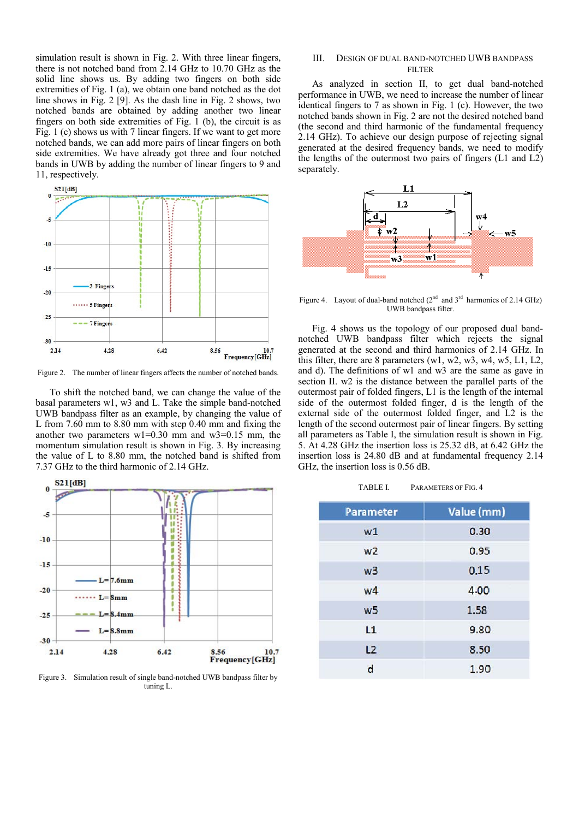simulation result is shown in Fig. 2. With three linear fingers, there is not notched band from 2.14 GHz to 10.70 GHz as the solid line shows us. By adding two fingers on both side extremities of Fig. 1 (a), we obtain one band notched as the dot line shows in Fig. 2 [9]. As the dash line in Fig. 2 shows, two notched bands are obtained by adding another two linear fingers on both side extremities of Fig. 1 (b), the circuit is as Fig. 1 (c) shows us with 7 linear fingers. If we want to get more notched bands, we can add more pairs of linear fingers on both side extremities. We have already got three and four notched bands in UWB by adding the number of linear fingers to 9 and 11, respectively.



Figure 2. The number of linear fingers affects the number of notched bands.

To shift the notched band, we can change the value of the basal parameters w1, w3 and L. Take the simple band-notched UWB bandpass filter as an example, by changing the value of L from 7.60 mm to 8.80 mm with step 0.40 mm and fixing the another two parameters  $w1=0.30$  mm and  $w3=0.15$  mm, the momentum simulation result is shown in Fig. 3. By increasing the value of L to 8.80 mm, the notched band is shifted from 7.37 GHz to the third harmonic of 2.14 GHz.



Figure 3. Simulation result of single band-notched UWB bandpass filter by tuning L.

# III. DESIGN OF DUAL BAND-NOTCHED UWB BANDPASS FILTER

As analyzed in section II, to get dual band-notched performance in UWB, we need to increase the number of linear identical fingers to 7 as shown in Fig. 1 (c). However, the two notched bands shown in Fig. 2 are not the desired notched band (the second and third harmonic of the fundamental frequency 2.14 GHz). To achieve our design purpose of rejecting signal generated at the desired frequency bands, we need to modify the lengths of the outermost two pairs of fingers (L1 and L2) separately.



Figure 4. Layout of dual-band notched  $(2^{nd}$  and  $3^{rd}$  harmonics of 2.14 GHz) UWB bandpass filter.

Fig. 4 shows us the topology of our proposed dual bandnotched UWB bandpass filter which rejects the signal generated at the second and third harmonics of 2.14 GHz. In this filter, there are 8 parameters (w1, w2, w3, w4, w5, L1, L2, and d). The definitions of w1 and w3 are the same as gave in section II. w2 is the distance between the parallel parts of the outermost pair of folded fingers, L1 is the length of the internal side of the outermost folded finger, d is the length of the external side of the outermost folded finger, and L2 is the length of the second outermost pair of linear fingers. By setting all parameters as Table I, the simulation result is shown in Fig. 5. At 4.28 GHz the insertion loss is 25.32 dB, at 6.42 GHz the insertion loss is 24.80 dB and at fundamental frequency 2.14 GHz, the insertion loss is 0.56 dB.

TABLE I. PARAMETERS OF FIG. 4

| <b>Parameter</b> | Value (mm) |
|------------------|------------|
| W1               | 0.30       |
| W <sub>2</sub>   | 0.95       |
| w3               | 0.15       |
| w4               | 4.00       |
| W <sub>5</sub>   | 1.58       |
| L1               | 9.80       |
| L2               | 8.50       |
| d                | 1.90       |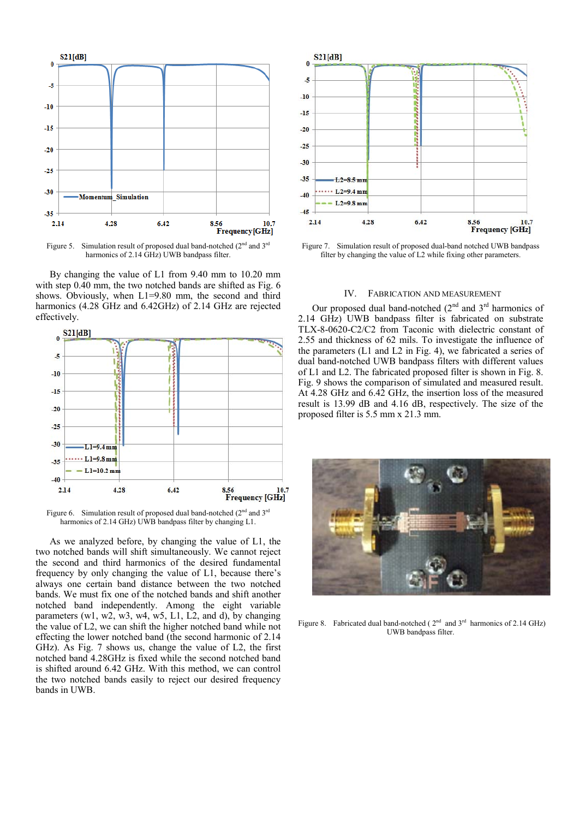

Figure 5. Simulation result of proposed dual band-notched  $(2<sup>nd</sup>$  and  $3<sup>rd</sup>$ harmonics of 2.14 GHz) UWB bandpass filter.

By changing the value of L1 from 9.40 mm to 10.20 mm with step 0.40 mm, the two notched bands are shifted as Fig. 6 shows. Obviously, when L1=9.80 mm, the second and third harmonics (4.28 GHz and 6.42GHz) of 2.14 GHz are rejected effectively.



Figure 6. Simulation result of proposed dual band-notched  $(2<sup>nd</sup>$  and  $3<sup>rd</sup>$ harmonics of 2.14 GHz) UWB bandpass filter by changing L1.

As we analyzed before, by changing the value of L1, the two notched bands will shift simultaneously. We cannot reject the second and third harmonics of the desired fundamental frequency by only changing the value of L1, because there's always one certain band distance between the two notched bands. We must fix one of the notched bands and shift another notched band independently. Among the eight variable parameters (w1, w2, w3, w4, w5, L1, L2, and d), by changing the value of L2, we can shift the higher notched band while not effecting the lower notched band (the second harmonic of 2.14 GHz). As Fig. 7 shows us, change the value of L2, the first notched band 4.28GHz is fixed while the second notched band is shifted around 6.42 GHz. With this method, we can control the two notched bands easily to reject our desired frequency bands in UWB.



Figure 7. Simulation result of proposed dual-band notched UWB bandpass filter by changing the value of L2 while fixing other parameters.

### IV. FABRICATION AND MEASUREMENT

Our proposed dual band-notched  $(2^{nd}$  and  $3^{rd}$  harmonics of 2.14 GHz) UWB bandpass filter is fabricated on substrate TLX-8-0620-C2/C2 from Taconic with dielectric constant of 2.55 and thickness of 62 mils. To investigate the influence of the parameters (L1 and L2 in Fig. 4), we fabricated a series of dual band-notched UWB bandpass filters with different values of L1 and L2. The fabricated proposed filter is shown in Fig. 8. Fig. 9 shows the comparison of simulated and measured result. At 4.28 GHz and 6.42 GHz, the insertion loss of the measured result is 13.99 dB and 4.16 dB, respectively. The size of the proposed filter is 5.5 mm x 21.3 mm.



Figure 8. Fabricated dual band-notched ( $2<sup>nd</sup>$  and  $3<sup>rd</sup>$  harmonics of 2.14 GHz) UWB bandpass filter.